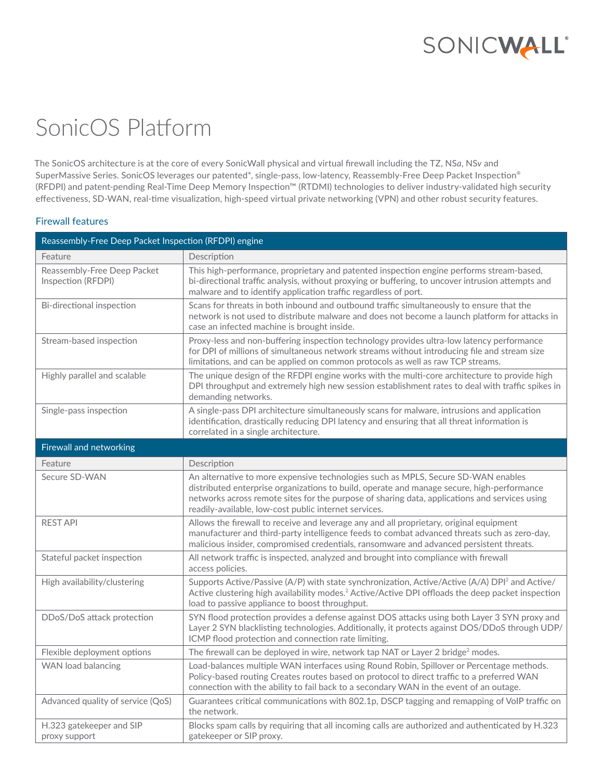# SONICWALL®

# SonicOS Platform

The SonicOS architecture is at the core of every SonicWall physical and virtual firewall including the TZ, NS*a*, NS*v* and SuperMassive Series. SonicOS leverages our patented\*, single-pass, low-latency, Reassembly-Free Deep Packet Inspection® (RFDPI) and patent-pending Real-Time Deep Memory Inspection™ (RTDMI) technologies to deliver industry-validated high security effectiveness, SD-WAN, real-time visualization, high-speed virtual private networking (VPN) and other robust security features.

# Firewall features

| Reassembly-Free Deep Packet Inspection (RFDPI) engine |                                                                                                                                                                                                                                                                                                                                           |  |
|-------------------------------------------------------|-------------------------------------------------------------------------------------------------------------------------------------------------------------------------------------------------------------------------------------------------------------------------------------------------------------------------------------------|--|
| Feature                                               | Description                                                                                                                                                                                                                                                                                                                               |  |
| Reassembly-Free Deep Packet<br>Inspection (RFDPI)     | This high-performance, proprietary and patented inspection engine performs stream-based,<br>bi-directional traffic analysis, without proxying or buffering, to uncover intrusion attempts and<br>malware and to identify application traffic regardless of port.                                                                          |  |
| Bi-directional inspection                             | Scans for threats in both inbound and outbound traffic simultaneously to ensure that the<br>network is not used to distribute malware and does not become a launch platform for attacks in<br>case an infected machine is brought inside.                                                                                                 |  |
| Stream-based inspection                               | Proxy-less and non-buffering inspection technology provides ultra-low latency performance<br>for DPI of millions of simultaneous network streams without introducing file and stream size<br>limitations, and can be applied on common protocols as well as raw TCP streams.                                                              |  |
| Highly parallel and scalable                          | The unique design of the RFDPI engine works with the multi-core architecture to provide high<br>DPI throughput and extremely high new session establishment rates to deal with traffic spikes in<br>demanding networks.                                                                                                                   |  |
| Single-pass inspection                                | A single-pass DPI architecture simultaneously scans for malware, intrusions and application<br>identification, drastically reducing DPI latency and ensuring that all threat information is<br>correlated in a single architecture.                                                                                                       |  |
| Firewall and networking                               |                                                                                                                                                                                                                                                                                                                                           |  |
| Feature                                               | Description                                                                                                                                                                                                                                                                                                                               |  |
| Secure SD-WAN                                         | An alternative to more expensive technologies such as MPLS, Secure SD-WAN enables<br>distributed enterprise organizations to build, operate and manage secure, high-performance<br>networks across remote sites for the purpose of sharing data, applications and services using<br>readily-available, low-cost public internet services. |  |
| <b>REST API</b>                                       | Allows the firewall to receive and leverage any and all proprietary, original equipment<br>manufacturer and third-party intelligence feeds to combat advanced threats such as zero-day,<br>malicious insider, compromised credentials, ransomware and advanced persistent threats.                                                        |  |
| Stateful packet inspection                            | All network traffic is inspected, analyzed and brought into compliance with firewall<br>access policies.                                                                                                                                                                                                                                  |  |
| High availability/clustering                          | Supports Active/Passive (A/P) with state synchronization, Active/Active (A/A) DPI <sup>2</sup> and Active/<br>Active clustering high availability modes. <sup>2</sup> Active/Active DPI offloads the deep packet inspection<br>load to passive appliance to boost throughput.                                                             |  |
| DDoS/DoS attack protection                            | SYN flood protection provides a defense against DOS attacks using both Layer 3 SYN proxy and<br>Layer 2 SYN blacklisting technologies. Additionally, it protects against DOS/DDoS through UDP/<br>ICMP flood protection and connection rate limiting.                                                                                     |  |
| Flexible deployment options                           | The firewall can be deployed in wire, network tap NAT or Layer 2 bridge <sup>2</sup> modes.                                                                                                                                                                                                                                               |  |
| WAN load balancing                                    | Load-balances multiple WAN interfaces using Round Robin, Spillover or Percentage methods.<br>Policy-based routing Creates routes based on protocol to direct traffic to a preferred WAN<br>connection with the ability to fail back to a secondary WAN in the event of an outage.                                                         |  |
| Advanced quality of service (QoS)                     | Guarantees critical communications with 802.1p, DSCP tagging and remapping of VoIP traffic on<br>the network.                                                                                                                                                                                                                             |  |
| H.323 gatekeeper and SIP<br>proxy support             | Blocks spam calls by requiring that all incoming calls are authorized and authenticated by H.323<br>gatekeeper or SIP proxy.                                                                                                                                                                                                              |  |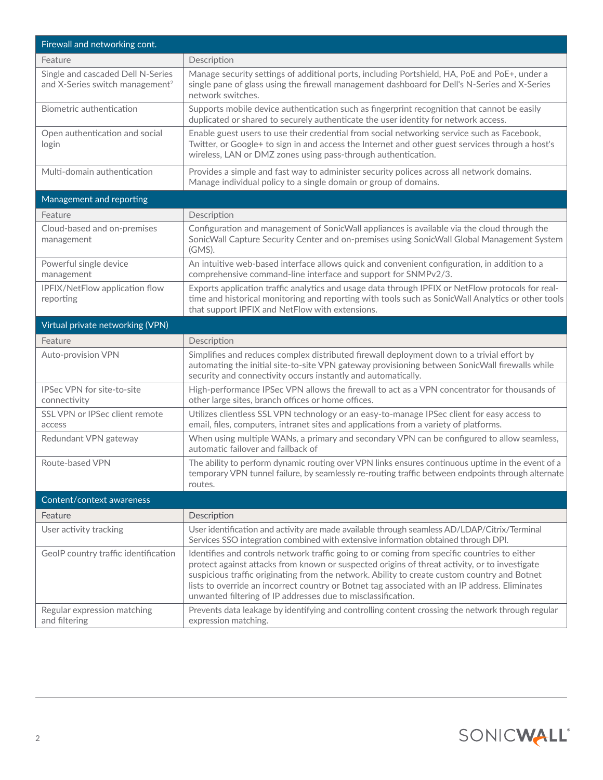| Firewall and networking cont.                                                    |                                                                                                                                                                                                                                                                                                                                                                                                                                                                                                                                                                      |  |  |
|----------------------------------------------------------------------------------|----------------------------------------------------------------------------------------------------------------------------------------------------------------------------------------------------------------------------------------------------------------------------------------------------------------------------------------------------------------------------------------------------------------------------------------------------------------------------------------------------------------------------------------------------------------------|--|--|
| Feature                                                                          | Description                                                                                                                                                                                                                                                                                                                                                                                                                                                                                                                                                          |  |  |
| Single and cascaded Dell N-Series<br>and X-Series switch management <sup>2</sup> | Manage security settings of additional ports, including Portshield, HA, PoE and PoE+, under a<br>single pane of glass using the firewall management dashboard for Dell's N-Series and X-Series<br>network switches.                                                                                                                                                                                                                                                                                                                                                  |  |  |
| Biometric authentication                                                         | Supports mobile device authentication such as fingerprint recognition that cannot be easily<br>duplicated or shared to securely authenticate the user identity for network access.                                                                                                                                                                                                                                                                                                                                                                                   |  |  |
| Open authentication and social<br>login                                          | Enable guest users to use their credential from social networking service such as Facebook,<br>Twitter, or Google+ to sign in and access the Internet and other guest services through a host's<br>wireless, LAN or DMZ zones using pass-through authentication.                                                                                                                                                                                                                                                                                                     |  |  |
| Multi-domain authentication                                                      | Provides a simple and fast way to administer security polices across all network domains.<br>Manage individual policy to a single domain or group of domains.                                                                                                                                                                                                                                                                                                                                                                                                        |  |  |
| Management and reporting                                                         |                                                                                                                                                                                                                                                                                                                                                                                                                                                                                                                                                                      |  |  |
| Feature                                                                          | Description                                                                                                                                                                                                                                                                                                                                                                                                                                                                                                                                                          |  |  |
| Cloud-based and on-premises<br>management                                        | Configuration and management of SonicWall appliances is available via the cloud through the<br>SonicWall Capture Security Center and on-premises using SonicWall Global Management System<br>$(GMS)$ .                                                                                                                                                                                                                                                                                                                                                               |  |  |
| Powerful single device<br>management                                             | An intuitive web-based interface allows quick and convenient configuration, in addition to a<br>comprehensive command-line interface and support for SNMPv2/3.                                                                                                                                                                                                                                                                                                                                                                                                       |  |  |
| IPFIX/NetFlow application flow<br>reporting                                      | Exports application traffic analytics and usage data through IPFIX or NetFlow protocols for real-<br>time and historical monitoring and reporting with tools such as SonicWall Analytics or other tools<br>that support IPFIX and NetFlow with extensions.                                                                                                                                                                                                                                                                                                           |  |  |
| Virtual private networking (VPN)                                                 |                                                                                                                                                                                                                                                                                                                                                                                                                                                                                                                                                                      |  |  |
|                                                                                  |                                                                                                                                                                                                                                                                                                                                                                                                                                                                                                                                                                      |  |  |
| Feature                                                                          | Description                                                                                                                                                                                                                                                                                                                                                                                                                                                                                                                                                          |  |  |
| Auto-provision VPN                                                               | Simplifies and reduces complex distributed firewall deployment down to a trivial effort by<br>automating the initial site-to-site VPN gateway provisioning between SonicWall firewalls while<br>security and connectivity occurs instantly and automatically.                                                                                                                                                                                                                                                                                                        |  |  |
| <b>IPSec VPN</b> for site-to-site<br>connectivity                                | High-performance IPSec VPN allows the firewall to act as a VPN concentrator for thousands of<br>other large sites, branch offices or home offices.                                                                                                                                                                                                                                                                                                                                                                                                                   |  |  |
| SSL VPN or IPSec client remote<br>access                                         | Utilizes clientless SSL VPN technology or an easy-to-manage IPSec client for easy access to<br>email, files, computers, intranet sites and applications from a variety of platforms.                                                                                                                                                                                                                                                                                                                                                                                 |  |  |
| Redundant VPN gateway                                                            | When using multiple WANs, a primary and secondary VPN can be configured to allow seamless,<br>automatic failover and failback of                                                                                                                                                                                                                                                                                                                                                                                                                                     |  |  |
| Route-based VPN                                                                  | The ability to perform dynamic routing over VPN links ensures continuous uptime in the event of a<br>temporary VPN tunnel failure, by seamlessly re-routing traffic between endpoints through alternate<br>routes.                                                                                                                                                                                                                                                                                                                                                   |  |  |
| Content/context awareness                                                        |                                                                                                                                                                                                                                                                                                                                                                                                                                                                                                                                                                      |  |  |
| Feature                                                                          | Description                                                                                                                                                                                                                                                                                                                                                                                                                                                                                                                                                          |  |  |
| User activity tracking                                                           | User identification and activity are made available through seamless AD/LDAP/Citrix/Terminal<br>Services SSO integration combined with extensive information obtained through DPI.                                                                                                                                                                                                                                                                                                                                                                                   |  |  |
| GeolP country traffic identification                                             | Identifies and controls network traffic going to or coming from specific countries to either<br>protect against attacks from known or suspected origins of threat activity, or to investigate<br>suspicious traffic originating from the network. Ability to create custom country and Botnet<br>lists to override an incorrect country or Botnet tag associated with an IP address. Eliminates<br>unwanted filtering of IP addresses due to misclassification.<br>Prevents data leakage by identifying and controlling content crossing the network through regular |  |  |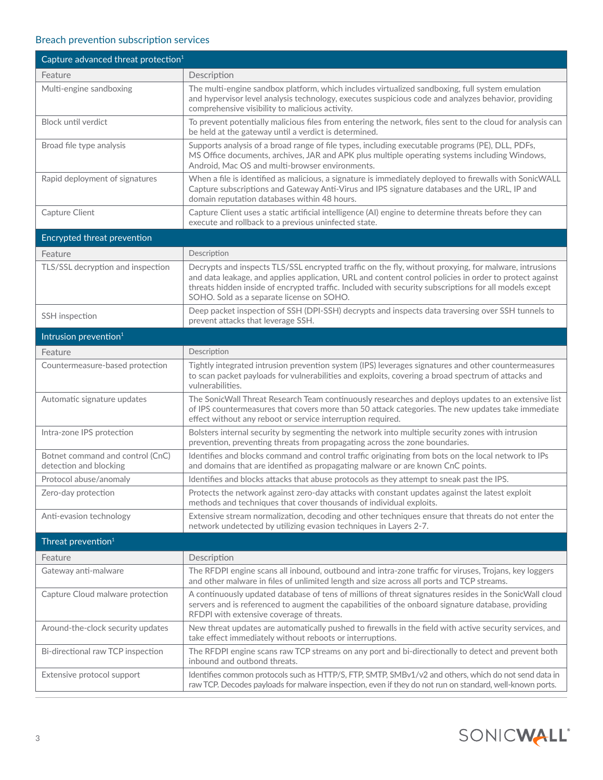# Breach prevention subscription services

| Capture advanced threat protection <sup>1</sup>            |                                                                                                                                                                                                                                                                                                                                                                         |  |
|------------------------------------------------------------|-------------------------------------------------------------------------------------------------------------------------------------------------------------------------------------------------------------------------------------------------------------------------------------------------------------------------------------------------------------------------|--|
| Feature                                                    | Description                                                                                                                                                                                                                                                                                                                                                             |  |
| Multi-engine sandboxing                                    | The multi-engine sandbox platform, which includes virtualized sandboxing, full system emulation<br>and hypervisor level analysis technology, executes suspicious code and analyzes behavior, providing<br>comprehensive visibility to malicious activity.                                                                                                               |  |
| Block until verdict                                        | To prevent potentially malicious files from entering the network, files sent to the cloud for analysis can<br>be held at the gateway until a verdict is determined.                                                                                                                                                                                                     |  |
| Broad file type analysis                                   | Supports analysis of a broad range of file types, including executable programs (PE), DLL, PDFs,<br>MS Office documents, archives, JAR and APK plus multiple operating systems including Windows,<br>Android, Mac OS and multi-browser environments.                                                                                                                    |  |
| Rapid deployment of signatures                             | When a file is identified as malicious, a signature is immediately deployed to firewalls with SonicWALL<br>Capture subscriptions and Gateway Anti-Virus and IPS signature databases and the URL, IP and<br>domain reputation databases within 48 hours.                                                                                                                 |  |
| Capture Client                                             | Capture Client uses a static artificial intelligence (AI) engine to determine threats before they can<br>execute and rollback to a previous uninfected state.                                                                                                                                                                                                           |  |
| Encrypted threat prevention                                |                                                                                                                                                                                                                                                                                                                                                                         |  |
| Feature                                                    | Description                                                                                                                                                                                                                                                                                                                                                             |  |
| TLS/SSL decryption and inspection                          | Decrypts and inspects TLS/SSL encrypted traffic on the fly, without proxying, for malware, intrusions<br>and data leakage, and applies application, URL and content control policies in order to protect against<br>threats hidden inside of encrypted traffic. Included with security subscriptions for all models except<br>SOHO. Sold as a separate license on SOHO. |  |
| SSH inspection                                             | Deep packet inspection of SSH (DPI-SSH) decrypts and inspects data traversing over SSH tunnels to<br>prevent attacks that leverage SSH.                                                                                                                                                                                                                                 |  |
| Intrusion prevention <sup>1</sup>                          |                                                                                                                                                                                                                                                                                                                                                                         |  |
| Feature                                                    | Description                                                                                                                                                                                                                                                                                                                                                             |  |
| Countermeasure-based protection                            | Tightly integrated intrusion prevention system (IPS) leverages signatures and other countermeasures<br>to scan packet payloads for vulnerabilities and exploits, covering a broad spectrum of attacks and<br>vulnerabilities.                                                                                                                                           |  |
| Automatic signature updates                                | The SonicWall Threat Research Team continuously researches and deploys updates to an extensive list<br>of IPS countermeasures that covers more than 50 attack categories. The new updates take immediate<br>effect without any reboot or service interruption required.                                                                                                 |  |
| Intra-zone IPS protection                                  | Bolsters internal security by segmenting the network into multiple security zones with intrusion<br>prevention, preventing threats from propagating across the zone boundaries.                                                                                                                                                                                         |  |
| Botnet command and control (CnC)<br>detection and blocking | Identifies and blocks command and control traffic originating from bots on the local network to IPs<br>and domains that are identified as propagating malware or are known CnC points.                                                                                                                                                                                  |  |
| Protocol abuse/anomaly                                     | Identifies and blocks attacks that abuse protocols as they attempt to sneak past the IPS.                                                                                                                                                                                                                                                                               |  |
| Zero-day protection                                        | Protects the network against zero-day attacks with constant updates against the latest exploit<br>methods and techniques that cover thousands of individual exploits.                                                                                                                                                                                                   |  |
| Anti-evasion technology                                    | Extensive stream normalization, decoding and other techniques ensure that threats do not enter the<br>network undetected by utilizing evasion techniques in Layers 2-7.                                                                                                                                                                                                 |  |
| Threat prevention <sup>1</sup>                             |                                                                                                                                                                                                                                                                                                                                                                         |  |
| Feature                                                    | Description                                                                                                                                                                                                                                                                                                                                                             |  |
| Gateway anti-malware                                       | The RFDPI engine scans all inbound, outbound and intra-zone traffic for viruses, Trojans, key loggers<br>and other malware in files of unlimited length and size across all ports and TCP streams.                                                                                                                                                                      |  |
| Capture Cloud malware protection                           | A continuously updated database of tens of millions of threat signatures resides in the SonicWall cloud<br>servers and is referenced to augment the capabilities of the onboard signature database, providing<br>RFDPI with extensive coverage of threats.                                                                                                              |  |
| Around-the-clock security updates                          | New threat updates are automatically pushed to firewalls in the field with active security services, and<br>take effect immediately without reboots or interruptions.                                                                                                                                                                                                   |  |
| Bi-directional raw TCP inspection                          | The RFDPI engine scans raw TCP streams on any port and bi-directionally to detect and prevent both<br>inbound and outbond threats.                                                                                                                                                                                                                                      |  |
| Extensive protocol support                                 | Identifies common protocols such as HTTP/S, FTP, SMTP, SMBv1/v2 and others, which do not send data in<br>raw TCP. Decodes payloads for malware inspection, even if they do not run on standard, well-known ports.                                                                                                                                                       |  |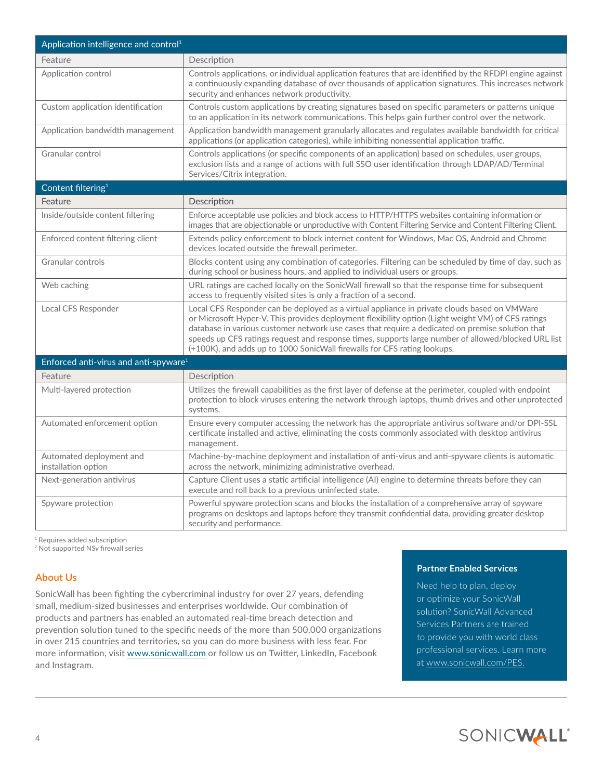| Application intelligence and control <sup>1</sup> |                                                                                                                                                                                                                                                                                                                                                                                                                                                                                           |  |
|---------------------------------------------------|-------------------------------------------------------------------------------------------------------------------------------------------------------------------------------------------------------------------------------------------------------------------------------------------------------------------------------------------------------------------------------------------------------------------------------------------------------------------------------------------|--|
| Feature                                           | Description                                                                                                                                                                                                                                                                                                                                                                                                                                                                               |  |
| Application control                               | Controls applications, or individual application features that are identified by the RFDPI engine against<br>a continuously expanding database of over thousands of application signatures. This increases network<br>security and enhances network productivity.                                                                                                                                                                                                                         |  |
| Custom application identification                 | Controls custom applications by creating signatures based on specific parameters or patterns unique<br>to an application in its network communications. This helps gain further control over the network.                                                                                                                                                                                                                                                                                 |  |
| Application bandwidth management                  | Application bandwidth management granularly allocates and regulates available bandwidth for critical<br>applications (or application categories), while inhibiting nonessential application traffic.                                                                                                                                                                                                                                                                                      |  |
| Granular control                                  | Controls applications (or specific components of an application) based on schedules, user groups,<br>exclusion lists and a range of actions with full SSO user identification through LDAP/AD/Terminal<br>Services/Citrix integration.                                                                                                                                                                                                                                                    |  |
| Content filtering <sup>1</sup>                    |                                                                                                                                                                                                                                                                                                                                                                                                                                                                                           |  |
| Feature                                           | Description                                                                                                                                                                                                                                                                                                                                                                                                                                                                               |  |
| Inside/outside content filtering                  | Enforce acceptable use policies and block access to HTTP/HTTPS websites containing information or<br>images that are objectionable or unproductive with Content Filtering Service and Content Filtering Client.                                                                                                                                                                                                                                                                           |  |
| Enforced content filtering client                 | Extends policy enforcement to block internet content for Windows, Mac OS, Android and Chrome<br>devices located outside the firewall perimeter.                                                                                                                                                                                                                                                                                                                                           |  |
| Granular controls                                 | Blocks content using any combination of categories. Filtering can be scheduled by time of day, such as<br>during school or business hours, and applied to individual users or groups.                                                                                                                                                                                                                                                                                                     |  |
| Web caching                                       | URL ratings are cached locally on the SonicWall firewall so that the response time for subsequent<br>access to frequently visited sites is only a fraction of a second.                                                                                                                                                                                                                                                                                                                   |  |
| Local CFS Responder                               | Local CFS Responder can be deployed as a virtual appliance in private clouds based on VMWare<br>or Microsoft Hyper-V. This provides deployment flexibility option (Light weight VM) of CFS ratings<br>database in various customer network use cases that require a dedicated on premise solution that<br>speeds up CFS ratings request and response times, supports large number of allowed/blocked URL list<br>(+100K), and adds up to 1000 SonicWall firewalls for CFS rating lookups. |  |
| Enforced anti-virus and anti-spyware <sup>1</sup> |                                                                                                                                                                                                                                                                                                                                                                                                                                                                                           |  |
| Feature                                           | Description                                                                                                                                                                                                                                                                                                                                                                                                                                                                               |  |
| Multi-layered protection                          | Utilizes the firewall capabilities as the first layer of defense at the perimeter, coupled with endpoint<br>protection to block viruses entering the network through laptops, thumb drives and other unprotected<br>systems.                                                                                                                                                                                                                                                              |  |
| Automated enforcement option                      | Ensure every computer accessing the network has the appropriate antivirus software and/or DPI-SSL<br>certificate installed and active, eliminating the costs commonly associated with desktop antivirus<br>management.                                                                                                                                                                                                                                                                    |  |
| Automated deployment and<br>installation option   | Machine-by-machine deployment and installation of anti-virus and anti-spyware clients is automatic<br>across the network, minimizing administrative overhead.                                                                                                                                                                                                                                                                                                                             |  |
| Next-generation antivirus                         | Capture Client uses a static artificial intelligence (AI) engine to determine threats before they can<br>execute and roll back to a previous uninfected state.                                                                                                                                                                                                                                                                                                                            |  |
| Spyware protection                                | Powerful spyware protection scans and blocks the installation of a comprehensive array of spyware<br>programs on desktops and laptops before they transmit confidential data, providing greater desktop<br>security and performance.                                                                                                                                                                                                                                                      |  |

<sup>1</sup> Requires added subscription

2 Not supported NS*v* firewall series

# **About Us**

SonicWall has been fighting the cybercriminal industry for over 27 years, defending small, medium-sized businesses and enterprises worldwide. Our combination of products and partners has enabled an automated real-time breach detection and prevention solution tuned to the specific needs of the more than 500,000 organizations in over 215 countries and territories, so you can do more business with less fear. For more information, visit [www.sonicwall.com](http://www.sonicwall.com) or follow us on Twitter, LinkedIn, Facebook and Instagram.

## **Partner Enabled Services**

Need help to plan, deploy or optimize your SonicWall solution? SonicWall Advanced Services Partners are trained to provide you with world class professional services. Learn more at [www.sonicwall.com/PES.](http://www.sonicwall.com/PES)